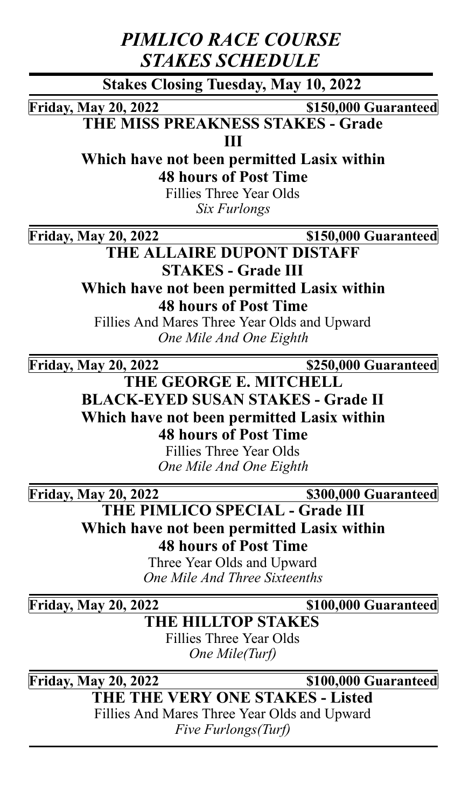*PIMLICO RACE COURSE STAKES SCHEDULE*

**Stakes Closing Tuesday, May 10, 2022**

**Friday, May 20, 2022 \$150,000 Guaranteed**

**THE MISS PREAKNESS STAKES - Grade**

**III**

**Which have not been permitted Lasix within**

**48 hours of Post Time**

Fillies Three Year Olds *Six Furlongs*

**Friday, May 20, 2022 \$150,000 Guaranteed**

**THE ALLAIRE DUPONT DISTAFF STAKES - Grade III Which have not been permitted Lasix within 48 hours of Post Time**

Fillies And Mares Three Year Olds and Upward *One Mile And One Eighth*

**Friday, May 20, 2022 \$250,000 Guaranteed**

**THE GEORGE E. MITCHELL BLACK-EYED SUSAN STAKES - Grade II Which have not been permitted Lasix within 48 hours of Post Time**

> Fillies Three Year Olds *One Mile And One Eighth*

**Friday, May 20, 2022 \$300,000 Guaranteed**

**THE PIMLICO SPECIAL - Grade III Which have not been permitted Lasix within 48 hours of Post Time**

Three Year Olds and Upward *One Mile And Three Sixteenths*

**Friday, May 20, 2022 \$100,000 Guaranteed**

**THE HILLTOP STAKES** Fillies Three Year Olds

*One Mile(Turf)*

**Friday, May 20, 2022 \$100,000 Guaranteed**

**THE THE VERY ONE STAKES - Listed**

Fillies And Mares Three Year Olds and Upward *Five Furlongs(Turf)*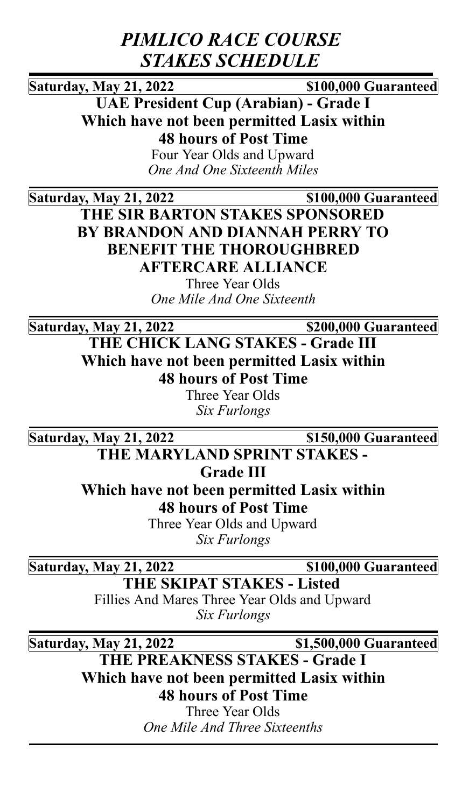## *PIMLICO RACE COURSE STAKES SCHEDULE*

**Saturday, May 21, 2022 \$100,000 Guaranteed**

**UAE President Cup (Arabian) - Grade I Which have not been permitted Lasix within 48 hours of Post Time**

> Four Year Olds and Upward *One And One Sixteenth Miles*

**Saturday, May 21, 2022 \$100,000 Guaranteed**

**THE SIR BARTON STAKES SPONSORED BY BRANDON AND DIANNAH PERRY TO BENEFIT THE THOROUGHBRED AFTERCARE ALLIANCE**

> Three Year Olds *One Mile And One Sixteenth*

**Saturday, May 21, 2022 \$200,000 Guaranteed**

**THE CHICK LANG STAKES - Grade III Which have not been permitted Lasix within 48 hours of Post Time**

Three Year Olds *Six Furlongs*

**Saturday, May 21, 2022 \$150,000 Guaranteed**

**THE MARYLAND SPRINT STAKES -**

**Grade III**

**Which have not been permitted Lasix within 48 hours of Post Time**

Three Year Olds and Upward *Six Furlongs*

**Saturday, May 21, 2022 \$100,000 Guaranteed**

**THE SKIPAT STAKES - Listed** Fillies And Mares Three Year Olds and Upward

*Six Furlongs*

**Saturday, May 21, 2022 \$1,500,000 Guaranteed**

**THE PREAKNESS STAKES - Grade I Which have not been permitted Lasix within 48 hours of Post Time**

Three Year Olds *One Mile And Three Sixteenths*